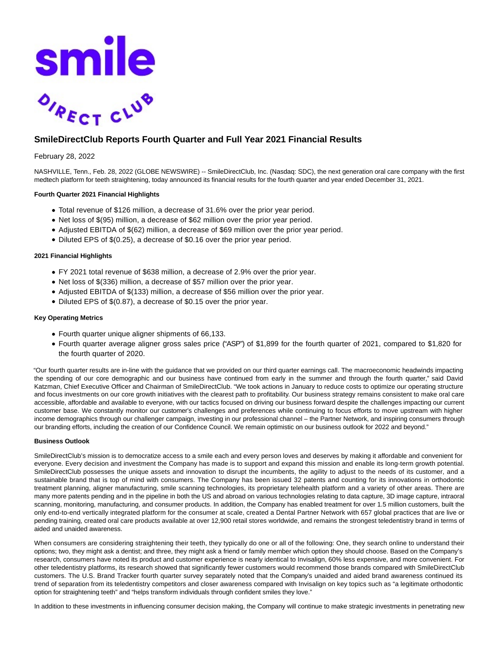



# **SmileDirectClub Reports Fourth Quarter and Full Year 2021 Financial Results**

## February 28, 2022

NASHVILLE, Tenn., Feb. 28, 2022 (GLOBE NEWSWIRE) -- SmileDirectClub, Inc. (Nasdaq: SDC), the next generation oral care company with the first medtech platform for teeth straightening, today announced its financial results for the fourth quarter and year ended December 31, 2021.

## **Fourth Quarter 2021 Financial Highlights**

- Total revenue of \$126 million, a decrease of 31.6% over the prior year period.
- Net loss of \$(95) million, a decrease of \$62 million over the prior year period.
- Adjusted EBITDA of \$(62) million, a decrease of \$69 million over the prior year period.
- Diluted EPS of \$(0.25), a decrease of \$0.16 over the prior year period.

## **2021 Financial Highlights**

- FY 2021 total revenue of \$638 million, a decrease of 2.9% over the prior year.
- Net loss of \$(336) million, a decrease of \$57 million over the prior year.
- Adjusted EBITDA of \$(133) million, a decrease of \$56 million over the prior year.
- Diluted EPS of \$(0.87), a decrease of \$0.15 over the prior year.

## **Key Operating Metrics**

- Fourth quarter unique aligner shipments of 66,133.
- Fourth quarter average aligner gross sales price ("ASP") of \$1,899 for the fourth quarter of 2021, compared to \$1,820 for the fourth quarter of 2020.

"Our fourth quarter results are in-line with the guidance that we provided on our third quarter earnings call. The macroeconomic headwinds impacting the spending of our core demographic and our business have continued from early in the summer and through the fourth quarter," said David Katzman, Chief Executive Officer and Chairman of SmileDirectClub. "We took actions in January to reduce costs to optimize our operating structure and focus investments on our core growth initiatives with the clearest path to profitability. Our business strategy remains consistent to make oral care accessible, affordable and available to everyone, with our tactics focused on driving our business forward despite the challenges impacting our current customer base. We constantly monitor our customer's challenges and preferences while continuing to focus efforts to move upstream with higher income demographics through our challenger campaign, investing in our professional channel – the Partner Network, and inspiring consumers through our branding efforts, including the creation of our Confidence Council. We remain optimistic on our business outlook for 2022 and beyond."

## **Business Outlook**

SmileDirectClub's mission is to democratize access to a smile each and every person loves and deserves by making it affordable and convenient for everyone. Every decision and investment the Company has made is to support and expand this mission and enable its long-term growth potential. SmileDirectClub possesses the unique assets and innovation to disrupt the incumbents, the agility to adjust to the needs of its customer, and a sustainable brand that is top of mind with consumers. The Company has been issued 32 patents and counting for its innovations in orthodontic treatment planning, aligner manufacturing, smile scanning technologies, its proprietary telehealth platform and a variety of other areas. There are many more patents pending and in the pipeline in both the US and abroad on various technologies relating to data capture, 3D image capture, intraoral scanning, monitoring, manufacturing, and consumer products. In addition, the Company has enabled treatment for over 1.5 million customers, built the only end-to-end vertically integrated platform for the consumer at scale, created a Dental Partner Network with 657 global practices that are live or pending training, created oral care products available at over 12,900 retail stores worldwide, and remains the strongest teledentistry brand in terms of aided and unaided awareness.

When consumers are considering straightening their teeth, they typically do one or all of the following: One, they search online to understand their options; two, they might ask a dentist; and three, they might ask a friend or family member which option they should choose. Based on the Company's research, consumers have noted its product and customer experience is nearly identical to Invisalign, 60% less expensive, and more convenient. For other teledentistry platforms, its research showed that significantly fewer customers would recommend those brands compared with SmileDirectClub customers. The U.S. Brand Tracker fourth quarter survey separately noted that the Company's unaided and aided brand awareness continued its trend of separation from its teledentistry competitors and closer awareness compared with Invisalign on key topics such as "a legitimate orthodontic option for straightening teeth" and "helps transform individuals through confident smiles they love."

In addition to these investments in influencing consumer decision making, the Company will continue to make strategic investments in penetrating new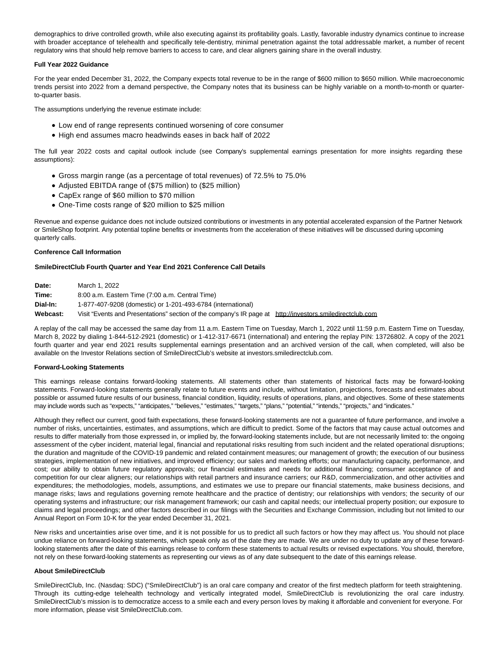demographics to drive controlled growth, while also executing against its profitability goals. Lastly, favorable industry dynamics continue to increase with broader acceptance of telehealth and specifically tele-dentistry, minimal penetration against the total addressable market, a number of recent regulatory wins that should help remove barriers to access to care, and clear aligners gaining share in the overall industry.

#### **Full Year 2022 Guidance**

For the year ended December 31, 2022, the Company expects total revenue to be in the range of \$600 million to \$650 million. While macroeconomic trends persist into 2022 from a demand perspective, the Company notes that its business can be highly variable on a month-to-month or quarterto-quarter basis.

The assumptions underlying the revenue estimate include:

- Low end of range represents continued worsening of core consumer
- High end assumes macro headwinds eases in back half of 2022

The full year 2022 costs and capital outlook include (see Company's supplemental earnings presentation for more insights regarding these assumptions):

- Gross margin range (as a percentage of total revenues) of 72.5% to 75.0%
- Adjusted EBITDA range of (\$75 million) to (\$25 million)
- CapEx range of \$60 million to \$70 million
- One-Time costs range of \$20 million to \$25 million

Revenue and expense guidance does not include outsized contributions or investments in any potential accelerated expansion of the Partner Network or SmileShop footprint. Any potential topline benefits or investments from the acceleration of these initiatives will be discussed during upcoming quarterly calls.

#### **Conference Call Information**

## **SmileDirectClub Fourth Quarter and Year End 2021 Conference Call Details**

| Date:    | March 1, 2022                                                                                             |  |
|----------|-----------------------------------------------------------------------------------------------------------|--|
| Time:    | 8:00 a.m. Eastern Time (7:00 a.m. Central Time)                                                           |  |
| Dial-In: | 1-877-407-9208 (domestic) or 1-201-493-6784 (international)                                               |  |
| Webcast: | Visit "Events and Presentations" section of the company's IR page at http://investors.smiledirectclub.com |  |

A replay of the call may be accessed the same day from 11 a.m. Eastern Time on Tuesday, March 1, 2022 until 11:59 p.m. Eastern Time on Tuesday, March 8, 2022 by dialing 1-844-512-2921 (domestic) or 1-412-317-6671 (international) and entering the replay PIN: 13726802. A copy of the 2021 fourth quarter and year end 2021 results supplemental earnings presentation and an archived version of the call, when completed, will also be available on the Investor Relations section of SmileDirectClub's website at investors.smiledirectclub.com.

#### **Forward-Looking Statements**

This earnings release contains forward-looking statements. All statements other than statements of historical facts may be forward-looking statements. Forward-looking statements generally relate to future events and include, without limitation, projections, forecasts and estimates about possible or assumed future results of our business, financial condition, liquidity, results of operations, plans, and objectives. Some of these statements may include words such as "expects," "anticipates," "believes," "estimates," "targets," "plans," "potential," "intends," "projects," and "indicates."

Although they reflect our current, good faith expectations, these forward-looking statements are not a guarantee of future performance, and involve a number of risks, uncertainties, estimates, and assumptions, which are difficult to predict. Some of the factors that may cause actual outcomes and results to differ materially from those expressed in, or implied by, the forward-looking statements include, but are not necessarily limited to: the ongoing assessment of the cyber incident, material legal, financial and reputational risks resulting from such incident and the related operational disruptions; the duration and magnitude of the COVID-19 pandemic and related containment measures; our management of growth; the execution of our business strategies, implementation of new initiatives, and improved efficiency; our sales and marketing efforts; our manufacturing capacity, performance, and cost; our ability to obtain future regulatory approvals; our financial estimates and needs for additional financing; consumer acceptance of and competition for our clear aligners; our relationships with retail partners and insurance carriers; our R&D, commercialization, and other activities and expenditures; the methodologies, models, assumptions, and estimates we use to prepare our financial statements, make business decisions, and manage risks; laws and regulations governing remote healthcare and the practice of dentistry; our relationships with vendors; the security of our operating systems and infrastructure; our risk management framework; our cash and capital needs; our intellectual property position; our exposure to claims and legal proceedings; and other factors described in our filings with the Securities and Exchange Commission, including but not limited to our Annual Report on Form 10-K for the year ended December 31, 2021.

New risks and uncertainties arise over time, and it is not possible for us to predict all such factors or how they may affect us. You should not place undue reliance on forward-looking statements, which speak only as of the date they are made. We are under no duty to update any of these forwardlooking statements after the date of this earnings release to conform these statements to actual results or revised expectations. You should, therefore, not rely on these forward-looking statements as representing our views as of any date subsequent to the date of this earnings release.

## **About SmileDirectClub**

SmileDirectClub, Inc. (Nasdaq: SDC) ("SmileDirectClub") is an oral care company and creator of the first medtech platform for teeth straightening. Through its cutting-edge telehealth technology and vertically integrated model, SmileDirectClub is revolutionizing the oral care industry. SmileDirectClub's mission is to democratize access to a smile each and every person loves by making it affordable and convenient for everyone. For more information, please visit SmileDirectClub.com.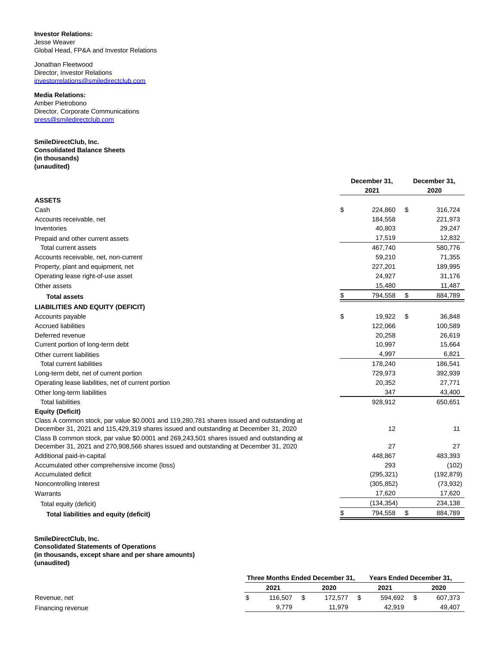# **Investor Relations:**

Jesse Weaver Global Head, FP&A and Investor Relations

Jonathan Fleetwood Director, Investor Relations [investorrelations@smiledirectclub.com](https://www.globenewswire.com/Tracker?data=pEB2VhAwZI5VO5IJJzLLX3pN0PX212J9gvwMbW9gbAk0y_FoXypLhVTjZyj8VDB6LB04e1k4j1d-KWLMQYabgeNJhvmluB-o4luDDWPSdpJpLXYk48dyVPx50ttcVjn4BhxLdjdZQmKJ1WRNdcjFhw==)

# **Media Relations:**

Amber Pietrobono Director, Corporate Communications [press@smiledirectclub.com](https://www.globenewswire.com/Tracker?data=R0aTIycILhKsKsaaeDIix9Yripwqp3dSZYHi1XTcY5RTsQ30utS_dEthxvyVJH28RdqICe1mlN3467sPVuVcgCPrt0UIlV6_B9rawzjQ4qI=)

## **SmileDirectClub, Inc. Consolidated Balance Sheets (in thousands) (unaudited)**

|                                                                                                                                                                                   | December 31,<br>2021 | December 31,<br>2020 |            |
|-----------------------------------------------------------------------------------------------------------------------------------------------------------------------------------|----------------------|----------------------|------------|
| <b>ASSETS</b>                                                                                                                                                                     |                      |                      |            |
| Cash                                                                                                                                                                              | \$<br>224,860        | \$                   | 316,724    |
| Accounts receivable, net                                                                                                                                                          | 184,558              |                      | 221,973    |
| Inventories                                                                                                                                                                       | 40,803               |                      | 29,247     |
| Prepaid and other current assets                                                                                                                                                  | 17,519               |                      | 12,832     |
| Total current assets                                                                                                                                                              | 467,740              |                      | 580,776    |
| Accounts receivable, net, non-current                                                                                                                                             | 59,210               |                      | 71,355     |
| Property, plant and equipment, net                                                                                                                                                | 227,201              |                      | 189,995    |
| Operating lease right-of-use asset                                                                                                                                                | 24,927               |                      | 31,176     |
| Other assets                                                                                                                                                                      | 15,480               |                      | 11,487     |
| <b>Total assets</b>                                                                                                                                                               | \$<br>794,558        | \$                   | 884,789    |
| <b>LIABILITIES AND EQUITY (DEFICIT)</b>                                                                                                                                           |                      |                      |            |
| Accounts payable                                                                                                                                                                  | \$<br>19,922         | \$                   | 36,848     |
| <b>Accrued liabilities</b>                                                                                                                                                        | 122,066              |                      | 100,589    |
| Deferred revenue                                                                                                                                                                  | 20,258               |                      | 26,619     |
| Current portion of long-term debt                                                                                                                                                 | 10,997               |                      | 15,664     |
| Other current liabilities                                                                                                                                                         | 4,997                |                      | 6,821      |
| Total current liabilities                                                                                                                                                         | 178,240              |                      | 186,541    |
| Long-term debt, net of current portion                                                                                                                                            | 729,973              |                      | 392,939    |
| Operating lease liabilities, net of current portion                                                                                                                               | 20,352               |                      | 27,771     |
| Other long-term liabilities                                                                                                                                                       | 347                  |                      | 43,400     |
| <b>Total liabilities</b>                                                                                                                                                          | 928,912              |                      | 650,651    |
| <b>Equity (Deficit)</b>                                                                                                                                                           |                      |                      |            |
| Class A common stock, par value \$0.0001 and 119,280,781 shares issued and outstanding at                                                                                         |                      |                      |            |
| December 31, 2021 and 115,429,319 shares issued and outstanding at December 31, 2020                                                                                              | 12                   |                      | 11         |
| Class B common stock, par value \$0.0001 and 269,243,501 shares issued and outstanding at<br>December 31, 2021 and 270,908,566 shares issued and outstanding at December 31, 2020 | 27                   |                      | 27         |
| Additional paid-in-capital                                                                                                                                                        | 448,867              |                      | 483,393    |
| Accumulated other comprehensive income (loss)                                                                                                                                     | 293                  |                      | (102)      |
| Accumulated deficit                                                                                                                                                               | (295, 321)           |                      | (192, 879) |
| Noncontrolling interest                                                                                                                                                           | (305, 852)           |                      | (73, 932)  |
| Warrants                                                                                                                                                                          | 17,620               |                      | 17,620     |
|                                                                                                                                                                                   | (134, 354)           |                      | 234,138    |
| Total equity (deficit)                                                                                                                                                            | 794,558              |                      |            |
| Total liabilities and equity (deficit)                                                                                                                                            | \$                   | \$                   | 884,789    |

**SmileDirectClub, Inc.**

**Consolidated Statements of Operations**

**(in thousands, except share and per share amounts)**

**(unaudited)**

|                   | Three Months Ended December 31, |  |         |  | <b>Years Ended December 31.</b> |  |         |
|-------------------|---------------------------------|--|---------|--|---------------------------------|--|---------|
|                   | 2021                            |  | 2020    |  | 2021                            |  | 2020    |
| Revenue, net      | 116.507                         |  | 172.577 |  | 594.692                         |  | 607.373 |
| Financing revenue | 9.779                           |  | 11.979  |  | 42.919                          |  | 49.407  |
|                   |                                 |  |         |  |                                 |  |         |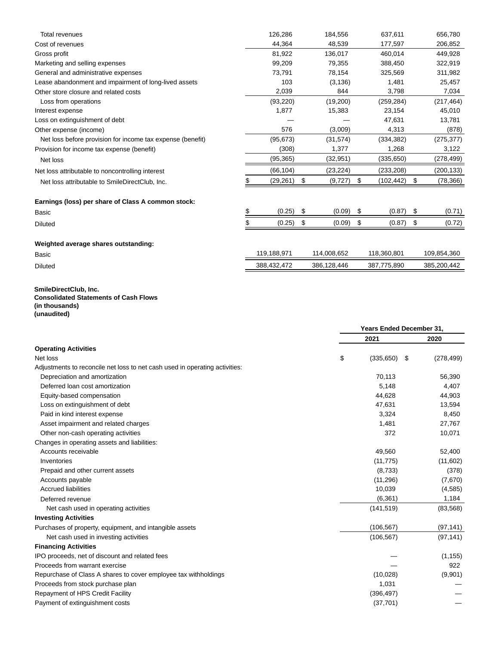| <b>Total revenues</b>                                      | 126,286      | 184,556       | 637.611          | 656,780         |
|------------------------------------------------------------|--------------|---------------|------------------|-----------------|
| Cost of revenues                                           | 44,364       | 48,539        | 177,597          | 206,852         |
| Gross profit                                               | 81,922       | 136,017       | 460.014          | 449,928         |
| Marketing and selling expenses                             | 99,209       | 79,355        | 388,450          | 322,919         |
| General and administrative expenses                        | 73,791       | 78,154        | 325,569          | 311,982         |
| Lease abandonment and impairment of long-lived assets      | 103          | (3, 136)      | 1,481            | 25,457          |
| Other store closure and related costs                      | 2,039        | 844           | 3,798            | 7,034           |
| Loss from operations                                       | (93, 220)    | (19,200)      | (259, 284)       | (217, 464)      |
| Interest expense                                           | 1,877        | 15,383        | 23,154           | 45,010          |
| Loss on extinguishment of debt                             |              |               | 47,631           | 13,781          |
| Other expense (income)                                     | 576          | (3,009)       | 4,313            | (878)           |
| Net loss before provision for income tax expense (benefit) | (95, 673)    | (31,574)      | (334, 382)       | (275, 377)      |
| Provision for income tax expense (benefit)                 | (308)        | 1,377         | 1,268            | 3,122           |
| Net loss                                                   | (95, 365)    | (32, 951)     | (335,650)        | (278, 499)      |
| Net loss attributable to noncontrolling interest           | (66, 104)    | (23, 224)     | (233, 208)       | (200,133)       |
| Net loss attributable to SmileDirectClub, Inc.             | (29, 261)    | \$<br>(9,727) | \$<br>(102, 442) | \$<br>(78, 366) |
| Earnings (loss) per share of Class A common stock:         |              |               |                  |                 |
| Basic                                                      | \$<br>(0.25) | \$<br>(0.09)  | \$<br>(0.87)     | \$<br>(0.71)    |
| <b>Diluted</b>                                             | (0.25)       | \$<br>(0.09)  | \$<br>(0.87)     | \$<br>(0.72)    |
| Weighted average shares outstanding:<br>Basic              | 119,188,971  | 114,008,652   | 118,360,801      | 109,854,360     |
|                                                            | 388,432,472  | 386,128,446   | 387,775,890      | 385,200,442     |
| <b>Diluted</b>                                             |              |               |                  |                 |

#### **SmileDirectClub, Inc.**

# **Consolidated Statements of Cash Flows (in thousands)**

**(unaudited)**

|                                                                             | 2021             |     |            |
|-----------------------------------------------------------------------------|------------------|-----|------------|
| <b>Operating Activities</b>                                                 |                  |     |            |
| Net loss                                                                    | \$<br>(335, 650) | -\$ | (278, 499) |
| Adjustments to reconcile net loss to net cash used in operating activities: |                  |     |            |
| Depreciation and amortization                                               | 70,113           |     | 56,390     |
| Deferred loan cost amortization                                             | 5,148            |     | 4,407      |
| Equity-based compensation                                                   | 44,628           |     | 44,903     |
| Loss on extinguishment of debt                                              | 47,631           |     | 13,594     |
| Paid in kind interest expense                                               | 3,324            |     | 8,450      |
| Asset impairment and related charges                                        | 1,481            |     | 27,767     |
| Other non-cash operating activities                                         | 372              |     | 10,071     |
| Changes in operating assets and liabilities:                                |                  |     |            |
| Accounts receivable                                                         | 49,560           |     | 52,400     |
| Inventories                                                                 | (11, 775)        |     | (11,602)   |
| Prepaid and other current assets                                            | (8,733)          |     | (378)      |
| Accounts payable                                                            | (11, 296)        |     | (7,670)    |
| <b>Accrued liabilities</b>                                                  | 10,039           |     | (4,585)    |
| Deferred revenue                                                            | (6, 361)         |     | 1,184      |
| Net cash used in operating activities                                       | (141, 519)       |     | (83, 568)  |
| <b>Investing Activities</b>                                                 |                  |     |            |
| Purchases of property, equipment, and intangible assets                     | (106, 567)       |     | (97, 141)  |
| Net cash used in investing activities                                       | (106, 567)       |     | (97, 141)  |
| <b>Financing Activities</b>                                                 |                  |     |            |
| IPO proceeds, net of discount and related fees                              |                  |     | (1, 155)   |
| Proceeds from warrant exercise                                              |                  |     | 922        |
| Repurchase of Class A shares to cover employee tax withholdings             | (10,028)         |     | (9,901)    |
| Proceeds from stock purchase plan                                           | 1,031            |     |            |
| Repayment of HPS Credit Facility                                            | (396, 497)       |     |            |
| Payment of extinguishment costs                                             | (37,701)         |     |            |

**Years Ended December 31,**